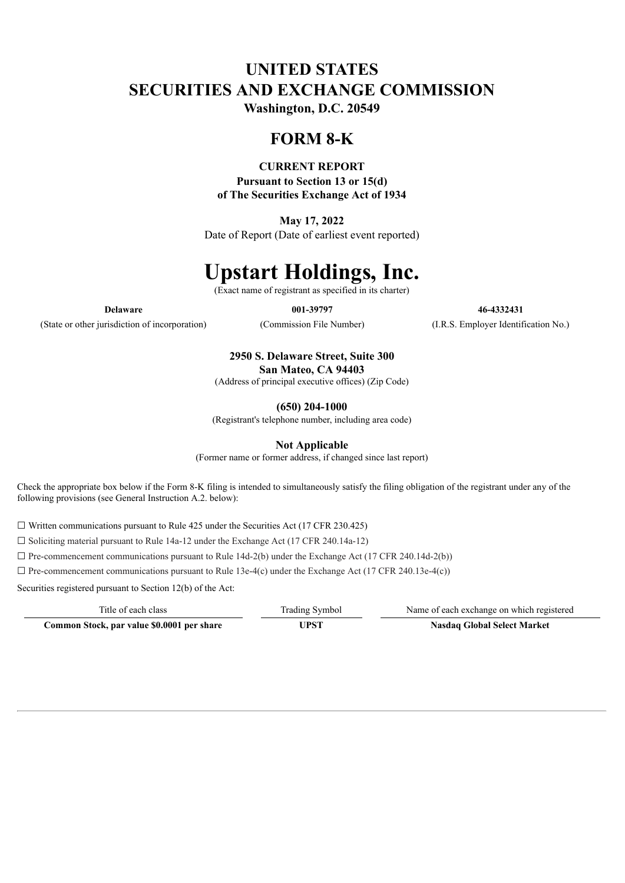## **UNITED STATES SECURITIES AND EXCHANGE COMMISSION**

**Washington, D.C. 20549**

## **FORM 8-K**

### **CURRENT REPORT**

**Pursuant to Section 13 or 15(d) of The Securities Exchange Act of 1934**

**May 17, 2022**

Date of Report (Date of earliest event reported)

# **Upstart Holdings, Inc.**

(Exact name of registrant as specified in its charter)

(State or other jurisdiction of incorporation) (Commission File Number) (I.R.S. Employer Identification No.)

**Delaware 001-39797 46-4332431**

**2950 S. Delaware Street, Suite 300 San Mateo, CA 94403**

(Address of principal executive offices) (Zip Code)

**(650) 204-1000**

(Registrant's telephone number, including area code)

**Not Applicable**

(Former name or former address, if changed since last report)

Check the appropriate box below if the Form 8-K filing is intended to simultaneously satisfy the filing obligation of the registrant under any of the following provisions (see General Instruction A.2. below):

 $\Box$  Written communications pursuant to Rule 425 under the Securities Act (17 CFR 230.425)

☐ Soliciting material pursuant to Rule 14a-12 under the Exchange Act (17 CFR 240.14a-12)

 $\Box$  Pre-commencement communications pursuant to Rule 14d-2(b) under the Exchange Act (17 CFR 240.14d-2(b))

 $\Box$  Pre-commencement communications pursuant to Rule 13e-4(c) under the Exchange Act (17 CFR 240.13e-4(c))

Securities registered pursuant to Section 12(b) of the Act:

| Title of each class                        | Trading Symbol | Name of each exchange on which registered |
|--------------------------------------------|----------------|-------------------------------------------|
| Common Stock, par value \$0.0001 per share | UPST           | <b>Nasdaq Global Select Market</b>        |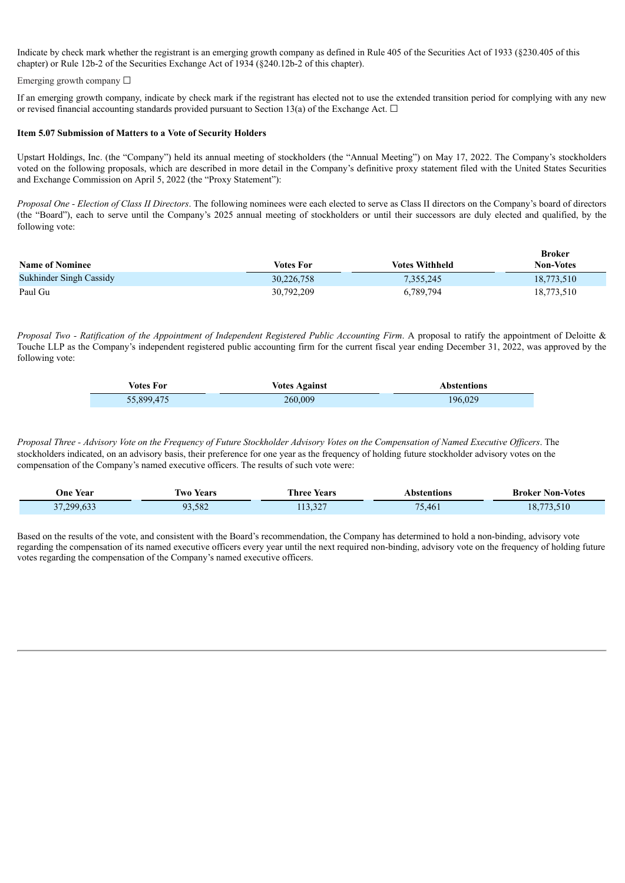Indicate by check mark whether the registrant is an emerging growth company as defined in Rule 405 of the Securities Act of 1933 (§230.405 of this chapter) or Rule 12b-2 of the Securities Exchange Act of 1934 (§240.12b-2 of this chapter).

Emerging growth company  $\Box$ 

If an emerging growth company, indicate by check mark if the registrant has elected not to use the extended transition period for complying with any new or revised financial accounting standards provided pursuant to Section 13(a) of the Exchange Act.  $\Box$ 

#### **Item 5.07 Submission of Matters to a Vote of Security Holders**

Upstart Holdings, Inc. (the "Company") held its annual meeting of stockholders (the "Annual Meeting") on May 17, 2022. The Company's stockholders voted on the following proposals, which are described in more detail in the Company's definitive proxy statement filed with the United States Securities and Exchange Commission on April 5, 2022 (the "Proxy Statement"):

*Proposal One - Election of Class II Directors*. The following nominees were each elected to serve as Class II directors on the Company's board of directors (the "Board"), each to serve until the Company's 2025 annual meeting of stockholders or until their successors are duly elected and qualified, by the following vote:

| <b>Name of Nominee</b>  | <b>Votes For</b> | <b>Votes Withheld</b> | <b>Broker</b><br><b>Non-Votes</b> |
|-------------------------|------------------|-----------------------|-----------------------------------|
| Sukhinder Singh Cassidy | 30,226,758       | 7,355,245             | 18,773,510                        |
| Paul Gu                 | 30,792,209       | 6,789,794             | 18,773,510                        |

Proposal Two - Ratification of the Appointment of Independent Registered Public Accounting Firm. A proposal to ratify the appointment of Deloitte & Touche LLP as the Company's independent registered public accounting firm for the current fiscal year ending December 31, 2022, was approved by the following vote:

| Votes For  | <b>Votes Against</b> | <b>Abstentions</b> |  |
|------------|----------------------|--------------------|--|
| 55,899,475 | 260,009              | 196.029            |  |

Proposal Three - Advisory Vote on the Frequency of Future Stockholder Advisory Votes on the Compensation of Named Executive Officers. The stockholders indicated, on an advisory basis, their preference for one year as the frequency of holding future stockholder advisory votes on the compensation of the Company's named executive officers. The results of such vote were:

| <b>One Year</b> | Two Years | <b>Three Years</b> | Abstentions                       | <b>Broker Non-Votes</b> |
|-----------------|-----------|--------------------|-----------------------------------|-------------------------|
| 37,299,633      | 93,582    | 20<br>13.321       | $\overline{\phantom{a}}$<br>7,461 | 73,510<br>18.           |

Based on the results of the vote, and consistent with the Board's recommendation, the Company has determined to hold a non-binding, advisory vote regarding the compensation of its named executive officers every year until the next required non-binding, advisory vote on the frequency of holding future votes regarding the compensation of the Company's named executive officers.